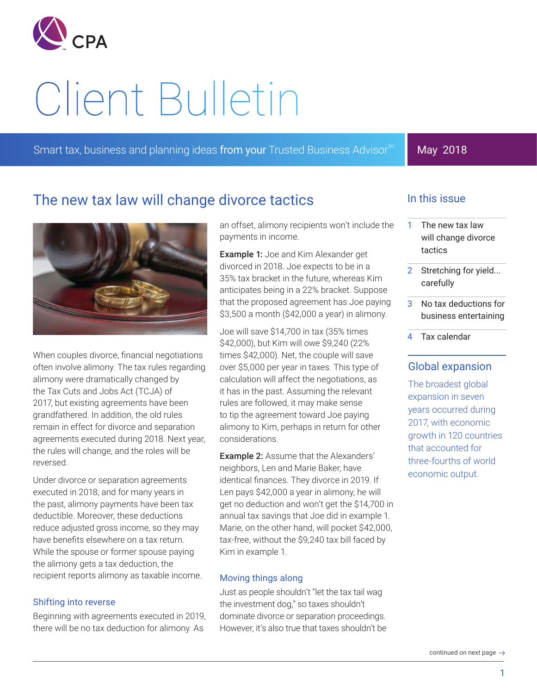

# Client Bulletin

Smart tax, business and planning ideas from your Trusted Business Advisor<sup>SM</sup>

# May 2018

# The new tax law will change divorce tactics



When couples divorce, financial negotiations often involve alimony. The tax rules regarding alimony were dramatically changed by the Tax Cuts and Jobs Act (TCJA) of 2017, but existing agreements have been grandfathered. In addition, the old rules remain in effect for divorce and separation agreements executed during 2018. Next year, the rules will change, and the roles will be reversed.

Under divorce or separation agreements executed in 2018, and for many years in the past, alimony payments have been tax deductible. Moreover, these deductions reduce adjusted gross income, so they may have benefits elsewhere on a tax return. While the spouse or former spouse paying the alimony gets a tax deduction, the recipient reports alimony as taxable income.

#### Shifting into reverse

Beginning with agreements executed in 2019, there will be no tax deduction for alimony. As

an offset, alimony recipients won't include the payments in income.

**Example 1:** Joe and Kim Alexander get divorced in 2018. Joe expects to be in a 35% tax bracket in the future, whereas Kim anticipates being in a 22% bracket. Suppose that the proposed agreement has Joe paying \$3,500 a month (\$42,000 a year) in alimony.

Joe will save \$14,700 in tax (35% times \$42,000), but Kim will owe \$9,240 (22% times \$42,000). Net, the couple will save over \$5,000 per year in taxes. This type of calculation will affect the negotiations, as it has in the past. Assuming the relevant rules are followed, it may make sense to tip the agreement toward Joe paying alimony to Kim, perhaps in return for other considerations.

Example 2: Assume that the Alexanders' neighbors, Len and Marie Baker, have identical finances. They divorce in 2019. If Len pays \$42,000 a year in alimony, he will get no deduction and won't get the \$14,700 in annual tax savings that Joe did in example 1. Marie, on the other hand, will pocket \$42,000, tax-free, without the \$9,240 tax bill faced by Kim in example 1.

#### Moving things along

Just as people shouldn't "let the tax tail wag the investment dog," so taxes shouldn't dominate divorce or separation proceedings. However, it's also true that taxes shouldn't be

## In this issue

- 1 The new tax law will change divorce tactics
- 2 Stretching for yield... carefully
- 3 No tax deductions for business entertaining
- 4 Tax calendar

## Global expansion

The broadest global expansion in seven years occurred during 2017, with economic growth in 120 countries that accounted for three-fourths of world economic output.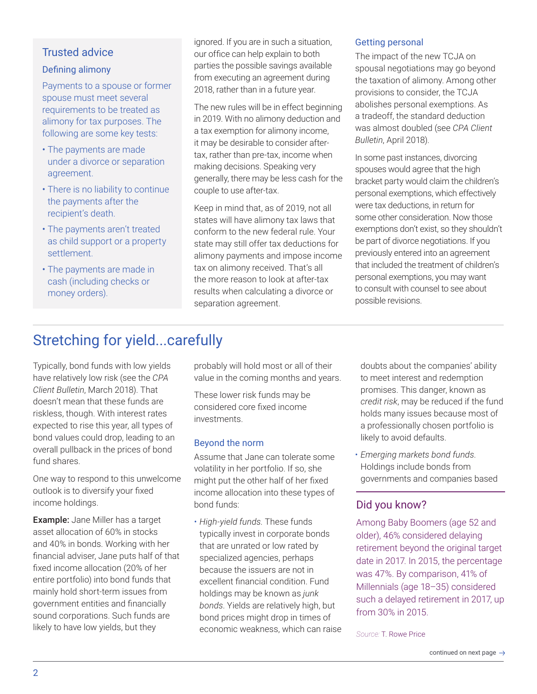## Trusted advice

### Defining alimony

Payments to a spouse or former spouse must meet several requirements to be treated as alimony for tax purposes. The following are some key tests:

- The payments are made under a divorce or separation agreement.
- There is no liability to continue the payments after the recipient's death.
- The payments aren't treated as child support or a property settlement.
- The payments are made in cash (including checks or money orders).

ignored. If you are in such a situation, our office can help explain to both parties the possible savings available from executing an agreement during 2018, rather than in a future year.

The new rules will be in effect beginning in 2019. With no alimony deduction and a tax exemption for alimony income, it may be desirable to consider aftertax, rather than pre-tax, income when making decisions. Speaking very generally, there may be less cash for the couple to use after-tax.

Keep in mind that, as of 2019, not all states will have alimony tax laws that conform to the new federal rule. Your state may still offer tax deductions for alimony payments and impose income tax on alimony received. That's all the more reason to look at after-tax results when calculating a divorce or separation agreement.

#### Getting personal

The impact of the new TCJA on spousal negotiations may go beyond the taxation of alimony. Among other provisions to consider, the TCJA abolishes personal exemptions. As a tradeoff, the standard deduction was almost doubled (see *CPA Client Bulletin*, April 2018).

In some past instances, divorcing spouses would agree that the high bracket party would claim the children's personal exemptions, which effectively were tax deductions, in return for some other consideration. Now those exemptions don't exist, so they shouldn't be part of divorce negotiations. If you previously entered into an agreement that included the treatment of children's personal exemptions, you may want to consult with counsel to see about possible revisions.

# Stretching for yield...carefully

Typically, bond funds with low yields have relatively low risk (see the *CPA Client Bulletin*, March 2018). That doesn't mean that these funds are riskless, though. With interest rates expected to rise this year, all types of bond values could drop, leading to an overall pullback in the prices of bond fund shares.

One way to respond to this unwelcome outlook is to diversify your fixed income holdings.

Example: Jane Miller has a target asset allocation of 60% in stocks and 40% in bonds. Working with her financial adviser, Jane puts half of that fixed income allocation (20% of her entire portfolio) into bond funds that mainly hold short-term issues from government entities and financially sound corporations. Such funds are likely to have low yields, but they

probably will hold most or all of their value in the coming months and years.

These lower risk funds may be considered core fixed income investments.

## Beyond the norm

Assume that Jane can tolerate some volatility in her portfolio. If so, she might put the other half of her fixed income allocation into these types of bond funds:

• *High-yield funds*. These funds typically invest in corporate bonds that are unrated or low rated by specialized agencies, perhaps because the issuers are not in excellent financial condition. Fund holdings may be known as *junk bonds*. Yields are relatively high, but bond prices might drop in times of economic weakness, which can raise

doubts about the companies' ability to meet interest and redemption promises. This danger, known as *credit risk*, may be reduced if the fund holds many issues because most of a professionally chosen portfolio is likely to avoid defaults.

• *Emerging markets bond funds*. Holdings include bonds from governments and companies based

# Did you know?

Among Baby Boomers (age 52 and older), 46% considered delaying retirement beyond the original target date in 2017. In 2015, the percentage was 47%. By comparison, 41% of Millennials (age 18–35) considered such a delayed retirement in 2017, up from 30% in 2015.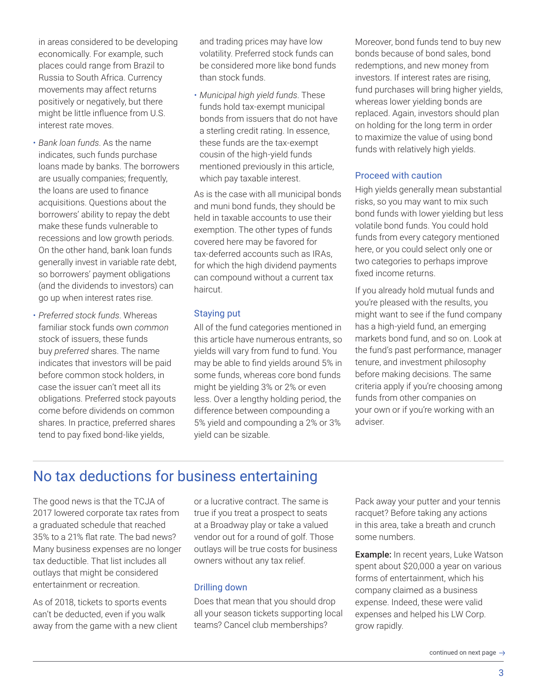in areas considered to be developing economically. For example, such places could range from Brazil to Russia to South Africa. Currency movements may affect returns positively or negatively, but there might be little influence from U.S. interest rate moves.

- *Bank loan funds*. As the name indicates, such funds purchase loans made by banks. The borrowers are usually companies; frequently, the loans are used to finance acquisitions. Questions about the borrowers' ability to repay the debt make these funds vulnerable to recessions and low growth periods. On the other hand, bank loan funds generally invest in variable rate debt, so borrowers' payment obligations (and the dividends to investors) can go up when interest rates rise.
- *Preferred stock funds*. Whereas familiar stock funds own *common* stock of issuers, these funds buy *preferred* shares. The name indicates that investors will be paid before common stock holders, in case the issuer can't meet all its obligations. Preferred stock payouts come before dividends on common shares. In practice, preferred shares tend to pay fixed bond-like yields,

and trading prices may have low volatility. Preferred stock funds can be considered more like bond funds than stock funds.

• *Municipal high yield funds*. These funds hold tax-exempt municipal bonds from issuers that do not have a sterling credit rating. In essence, these funds are the tax-exempt cousin of the high-yield funds mentioned previously in this article, which pay taxable interest.

As is the case with all municipal bonds and muni bond funds, they should be held in taxable accounts to use their exemption. The other types of funds covered here may be favored for tax-deferred accounts such as IRAs, for which the high dividend payments can compound without a current tax haircut.

#### Staying put

All of the fund categories mentioned in this article have numerous entrants, so yields will vary from fund to fund. You may be able to find yields around 5% in some funds, whereas core bond funds might be yielding 3% or 2% or even less. Over a lengthy holding period, the difference between compounding a 5% yield and compounding a 2% or 3% yield can be sizable.

Moreover, bond funds tend to buy new bonds because of bond sales, bond redemptions, and new money from investors. If interest rates are rising, fund purchases will bring higher yields, whereas lower yielding bonds are replaced. Again, investors should plan on holding for the long term in order to maximize the value of using bond funds with relatively high yields.

#### Proceed with caution

High yields generally mean substantial risks, so you may want to mix such bond funds with lower yielding but less volatile bond funds. You could hold funds from every category mentioned here, or you could select only one or two categories to perhaps improve fixed income returns.

If you already hold mutual funds and you're pleased with the results, you might want to see if the fund company has a high-yield fund, an emerging markets bond fund, and so on. Look at the fund's past performance, manager tenure, and investment philosophy before making decisions. The same criteria apply if you're choosing among funds from other companies on your own or if you're working with an adviser.

# No tax deductions for business entertaining

The good news is that the TCJA of 2017 lowered corporate tax rates from a graduated schedule that reached 35% to a 21% flat rate. The bad news? Many business expenses are no longer tax deductible. That list includes all outlays that might be considered entertainment or recreation.

As of 2018, tickets to sports events can't be deducted, even if you walk away from the game with a new client or a lucrative contract. The same is true if you treat a prospect to seats at a Broadway play or take a valued vendor out for a round of golf. Those outlays will be true costs for business owners without any tax relief.

#### Drilling down

Does that mean that you should drop all your season tickets supporting local teams? Cancel club memberships?

Pack away your putter and your tennis racquet? Before taking any actions in this area, take a breath and crunch some numbers.

Example: In recent years, Luke Watson spent about \$20,000 a year on various forms of entertainment, which his company claimed as a business expense. Indeed, these were valid expenses and helped his LW Corp. grow rapidly.